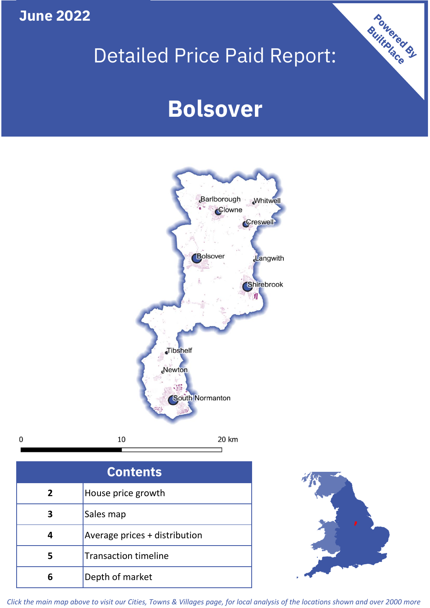**June 2022**

 $\mathbf 0$ 

# Detailed Price Paid Report:

# **Bolsover**



| <b>Contents</b> |                               |  |  |
|-----------------|-------------------------------|--|--|
| $\overline{2}$  | House price growth            |  |  |
| 3               | Sales map                     |  |  |
|                 | Average prices + distribution |  |  |
| 5               | <b>Transaction timeline</b>   |  |  |
|                 | Depth of market               |  |  |



Powered By

*Click the main map above to visit our Cities, Towns & Villages page, for local analysis of the locations shown and over 2000 more*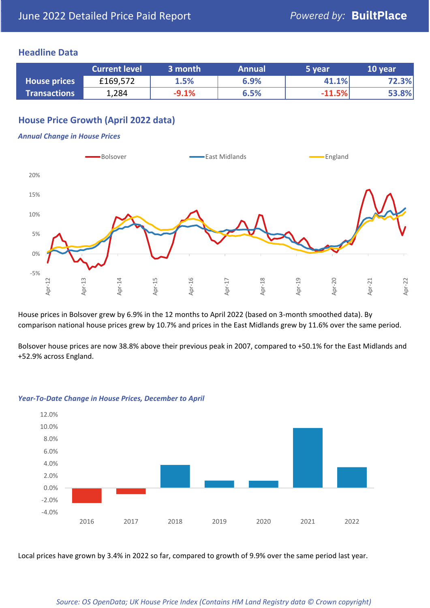## **Headline Data**

|                     | <b>Current level</b> | 3 month | <b>Annual</b> | 5 year   | 10 year |
|---------------------|----------------------|---------|---------------|----------|---------|
| <b>House prices</b> | £169,572             | 1.5%    | 6.9%          | 41.1%    | 72.3%   |
| <b>Transactions</b> | 1,284                | $-9.1%$ | 6.5%          | $-11.5%$ | 53.8%   |

# **House Price Growth (April 2022 data)**

## *Annual Change in House Prices*



House prices in Bolsover grew by 6.9% in the 12 months to April 2022 (based on 3-month smoothed data). By comparison national house prices grew by 10.7% and prices in the East Midlands grew by 11.6% over the same period.

Bolsover house prices are now 38.8% above their previous peak in 2007, compared to +50.1% for the East Midlands and +52.9% across England.



### *Year-To-Date Change in House Prices, December to April*

Local prices have grown by 3.4% in 2022 so far, compared to growth of 9.9% over the same period last year.

### *Source: OS OpenData; UK House Price Index (Contains HM Land Registry data © Crown copyright)*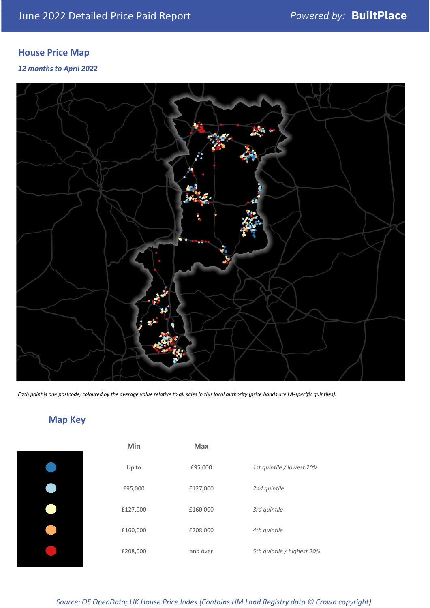# **House Price Map**

*12 months to April 2022*



*Each point is one postcode, coloured by the average value relative to all sales in this local authority (price bands are LA-specific quintiles).*

# **Map Key**

| Min      | Max      |                            |
|----------|----------|----------------------------|
| Up to    | £95,000  | 1st quintile / lowest 20%  |
| £95,000  | £127,000 | 2nd quintile               |
| £127,000 | £160,000 | 3rd quintile               |
| £160,000 | £208,000 | 4th quintile               |
| £208,000 | and over | 5th quintile / highest 20% |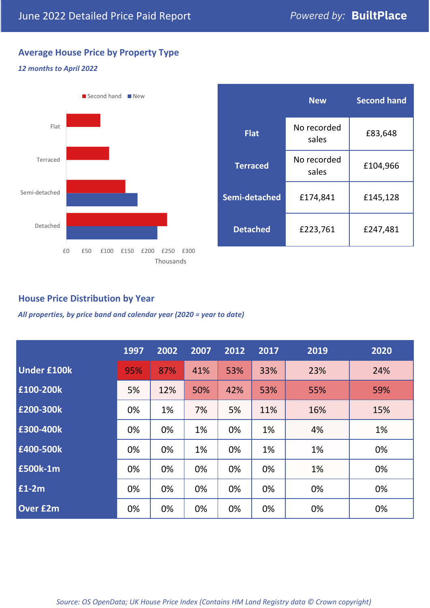# **Average House Price by Property Type**

## *12 months to April 2022*



|                 | <b>New</b>           | <b>Second hand</b> |  |  |
|-----------------|----------------------|--------------------|--|--|
| <b>Flat</b>     | No recorded<br>sales | £83,648            |  |  |
| <b>Terraced</b> | No recorded<br>sales | £104,966           |  |  |
| Semi-detached   | £174,841             | £145,128           |  |  |
| <b>Detached</b> | £223,761             | £247,481           |  |  |

## **House Price Distribution by Year**

*All properties, by price band and calendar year (2020 = year to date)*

|                    | 1997 | 2002 | 2007 | 2012 | 2017 | 2019 | 2020 |
|--------------------|------|------|------|------|------|------|------|
| <b>Under £100k</b> | 95%  | 87%  | 41%  | 53%  | 33%  | 23%  | 24%  |
| £100-200k          | 5%   | 12%  | 50%  | 42%  | 53%  | 55%  | 59%  |
| £200-300k          | 0%   | 1%   | 7%   | 5%   | 11%  | 16%  | 15%  |
| £300-400k          | 0%   | 0%   | 1%   | 0%   | 1%   | 4%   | 1%   |
| £400-500k          | 0%   | 0%   | 1%   | 0%   | 1%   | 1%   | 0%   |
| <b>£500k-1m</b>    | 0%   | 0%   | 0%   | 0%   | 0%   | 1%   | 0%   |
| £1-2m              | 0%   | 0%   | 0%   | 0%   | 0%   | 0%   | 0%   |
| <b>Over £2m</b>    | 0%   | 0%   | 0%   | 0%   | 0%   | 0%   | 0%   |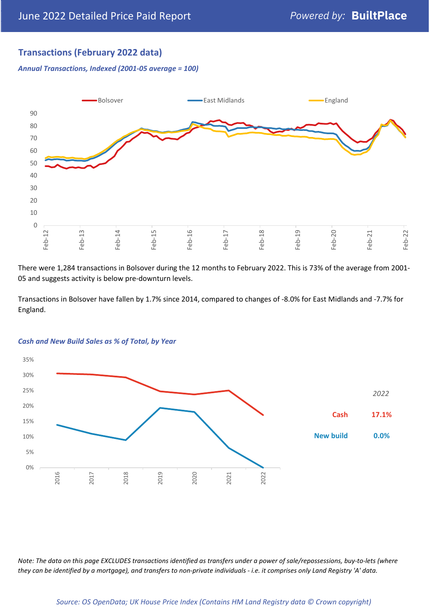## **Transactions (February 2022 data)**

*Annual Transactions, Indexed (2001-05 average = 100)*



There were 1,284 transactions in Bolsover during the 12 months to February 2022. This is 73% of the average from 2001- 05 and suggests activity is below pre-downturn levels.

Transactions in Bolsover have fallen by 1.7% since 2014, compared to changes of -8.0% for East Midlands and -7.7% for England.



### *Cash and New Build Sales as % of Total, by Year*

*Note: The data on this page EXCLUDES transactions identified as transfers under a power of sale/repossessions, buy-to-lets (where they can be identified by a mortgage), and transfers to non-private individuals - i.e. it comprises only Land Registry 'A' data.*